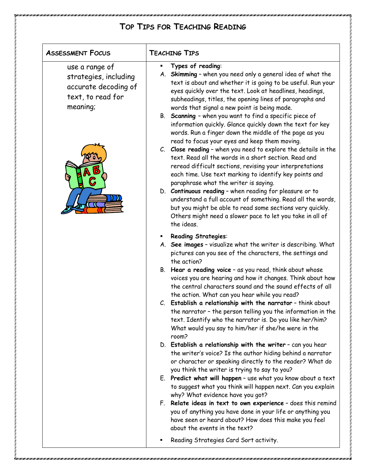# **TOP TIPS FOR TEACHING READING**

# **ASSESSMENT FOCUS TEACHING TIPS**

use a range of strategies, including accurate decoding of text, to read for meaning;



#### § **Types of reading**:

#### A. **Skimming** – when you need only a general idea of what the text is about and whether it is going to be useful. Run your eyes quickly over the text. Look at headlines, headings, subheadings, titles, the opening lines of paragraphs and words that signal a new point is being made.

#### B. **Scanning** – when you want to find a specific piece of information quickly. Glance quickly down the text for key words. Run a finger down the middle of the page as you read to focus your eyes and keep them moving.

#### C. **Close reading** – when you need to explore the details in the text. Read all the words in a short section. Read and reread difficult sections, revising your interpretations each time. Use text marking to identify key points and paraphrase what the writer is saying.

#### D. **Continuous reading** – when reading for pleasure or to understand a full account of something. Read all the words, but you might be able to read some sections very quickly. Others might need a slower pace to let you take in all of the ideas.

#### § **Reading Strategies**:

# A. **See images** – visualize what the writer is describing. What pictures can you see of the characters, the settings and the action?

#### B. **Hear a reading voice** – as you read, think about whose voices you are hearing and how it changes. Think about how the central characters sound and the sound effects of all the action. What can you hear while you read?

#### C. **Establish a relationship with the narrator** – think about the narrator – the person telling you the information in the text. Identify who the narrator is. Do you like her/him? What would you say to him/her if she/he were in the room?

#### D. **Establish a relationship with the writer** – can you hear the writer's voice? Is the author hiding behind a narrator or character or speaking directly to the reader? What do you think the writer is trying to say to you?

#### E. **Predict what will happen** – use what you know about a text to suggest what you think will happen next. Can you explain why? What evidence have you got?

# F. **Relate ideas in text to own experience** – does this remind you of anything you have done in your life or anything you have seen or heard about? How does this make you feel about the events in the text?

### § Reading Strategies Card Sort activity.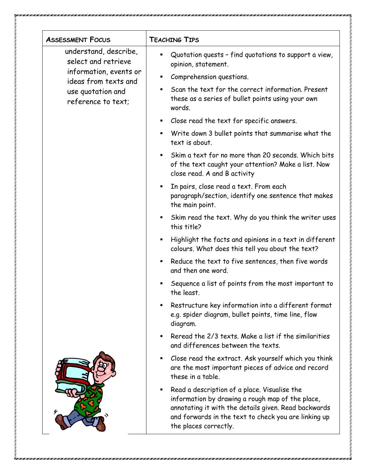| <b>ASSESSMENT FOCUS</b>                                                                                                                   | <b>TEACHING TIPS</b>                                                                                                                                                                                                                      |
|-------------------------------------------------------------------------------------------------------------------------------------------|-------------------------------------------------------------------------------------------------------------------------------------------------------------------------------------------------------------------------------------------|
| understand, describe,<br>select and retrieve<br>information, events or<br>ideas from texts and<br>use quotation and<br>reference to text; | Quotation quests - find quotations to support a view,<br>opinion, statement.                                                                                                                                                              |
|                                                                                                                                           | Comprehension questions.                                                                                                                                                                                                                  |
|                                                                                                                                           | Scan the text for the correct information. Present<br>these as a series of bullet points using your own<br>words.                                                                                                                         |
|                                                                                                                                           | Close read the text for specific answers.<br>п                                                                                                                                                                                            |
|                                                                                                                                           | Write down 3 bullet points that summarise what the<br>٠<br>text is about.                                                                                                                                                                 |
|                                                                                                                                           | Skim a text for no more than 20 seconds. Which bits<br>of the text caught your attention? Make a list. Now<br>close read. A and B activity                                                                                                |
|                                                                                                                                           | In pairs, close read a text. From each<br>٠<br>paragraph/section, identify one sentence that makes<br>the main point.                                                                                                                     |
|                                                                                                                                           | Skim read the text. Why do you think the writer uses<br>this title?                                                                                                                                                                       |
|                                                                                                                                           | Highlight the facts and opinions in a text in different<br>$\blacksquare$<br>colours. What does this tell you about the text?                                                                                                             |
|                                                                                                                                           | Reduce the text to five sentences, then five words<br>and then one word.                                                                                                                                                                  |
|                                                                                                                                           | Sequence a list of points from the most important to<br>the least.                                                                                                                                                                        |
|                                                                                                                                           | Restructure key information into a different format<br>e.g. spider diagram, bullet points, time line, flow<br>diagram.                                                                                                                    |
|                                                                                                                                           | Reread the 2/3 texts. Make a list if the similarities<br>and differences between the texts.                                                                                                                                               |
|                                                                                                                                           | Close read the extract. Ask yourself which you think<br>are the most important pieces of advice and record<br>these in a table.                                                                                                           |
|                                                                                                                                           | Read a description of a place. Visualise the<br>information by drawing a rough map of the place,<br>annotating it with the details given. Read backwards<br>and forwards in the text to check you are linking up<br>the places correctly. |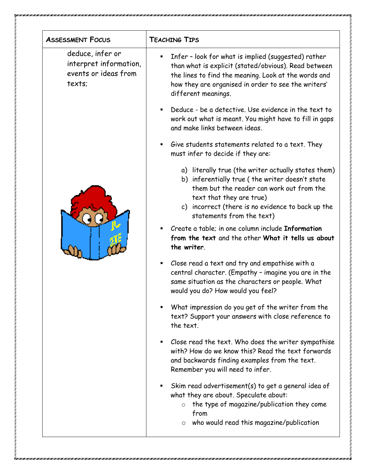| <b>ASSESSMENT FOCUS</b>                                                      | <b>TEACHING TIPS</b>                                                                                                                                                                                                                                              |
|------------------------------------------------------------------------------|-------------------------------------------------------------------------------------------------------------------------------------------------------------------------------------------------------------------------------------------------------------------|
| deduce, infer or<br>interpret information,<br>events or ideas from<br>texts; | Infer - look for what is implied (suggested) rather<br>than what is explicit (stated/obvious). Read between<br>the lines to find the meaning. Look at the words and<br>how they are organised in order to see the writers'<br>different meanings.                 |
|                                                                              | Deduce - be a detective. Use evidence in the text to<br>work out what is meant. You might have to fill in gaps<br>and make links between ideas.                                                                                                                   |
|                                                                              | Give students statements related to a text. They<br>٠<br>must infer to decide if they are:                                                                                                                                                                        |
|                                                                              | a) literally true (the writer actually states them)<br>b) inferentially true (the writer doesn't state<br>them but the reader can work out from the<br>text that they are true)<br>c) incorrect (there is no evidence to back up the<br>statements from the text) |
|                                                                              | Create a table; in one column include Information<br>from the text and the other What it tells us about<br>the writer.                                                                                                                                            |
|                                                                              | Close read a text and try and empathise with a<br>٠<br>central character. (Empathy - imagine you are in the<br>same situation as the characters or people. What<br>would you do? How would you feel?                                                              |
|                                                                              | What impression do you get of the writer from the<br>text? Support your answers with close reference to<br>the text.                                                                                                                                              |
|                                                                              | Close read the text. Who does the writer sympathise<br>with? How do we know this? Read the text forwards<br>and backwards finding examples from the text.<br>Remember you will need to infer.                                                                     |
|                                                                              | Skim read advertisement(s) to get a general idea of<br>what they are about. Speculate about:<br>the type of magazine/publication they come<br>$\circ$<br>from                                                                                                     |
|                                                                              | who would read this magazine/publication<br>$\circ$                                                                                                                                                                                                               |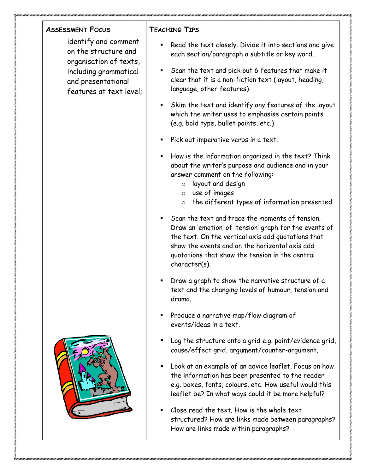| <b>ASSESSMENT FOCUS</b>                                                                                                                          | <b>TEACHING TIPS</b>                                                                                                                                                                                                                                                                  |
|--------------------------------------------------------------------------------------------------------------------------------------------------|---------------------------------------------------------------------------------------------------------------------------------------------------------------------------------------------------------------------------------------------------------------------------------------|
| identify and comment<br>on the structure and<br>organisation of texts,<br>including grammatical<br>and presentational<br>features at text level; | Read the text closely. Divide it into sections and give<br>each section/paragraph a subtitle or key word.                                                                                                                                                                             |
|                                                                                                                                                  | Scan the text and pick out 6 features that make it<br>٠<br>clear that it is a non-fiction text (layout, heading,<br>language, other features).                                                                                                                                        |
|                                                                                                                                                  | Skim the text and identify any features of the layout<br>which the writer uses to emphasise certain points<br>(e.g. bold type, bullet points, etc.)                                                                                                                                   |
|                                                                                                                                                  | Pick out imperative verbs in a text.                                                                                                                                                                                                                                                  |
|                                                                                                                                                  | How is the information organized in the text? Think<br>٠<br>about the writer's purpose and audience and in your<br>answer comment on the following:<br>layout and design<br>$\circ$<br>$\circ$ use of images<br>the different types of information presented<br>$\circ$               |
|                                                                                                                                                  | Scan the text and trace the moments of tension.<br>Draw an 'emotion' of 'tension' graph for the events of<br>the text. On the vertical axis add quotations that<br>show the events and on the horizontal axis add<br>quotations that show the tension in the central<br>character(s). |
|                                                                                                                                                  | Draw a graph to show the narrative structure of a<br>text and the changing levels of humour, tension and<br>drama.                                                                                                                                                                    |
|                                                                                                                                                  | Produce a narrative map/flow diagram of<br>events/ideas in a text.                                                                                                                                                                                                                    |
|                                                                                                                                                  | Log the structure onto a grid e.g. point/evidence grid,<br>cause/effect grid, argument/counter-argument.                                                                                                                                                                              |
|                                                                                                                                                  | Look at an example of an advice leaflet. Focus on how<br>the information has been presented to the reader<br>e.g. boxes, fonts, colours, etc. How useful would this<br>leaflet be? In what ways could it be more helpful?                                                             |
|                                                                                                                                                  | Close read the text. How is the whole text<br>structured? How are links made between paragraphs?<br>How are links made within paragraphs?                                                                                                                                             |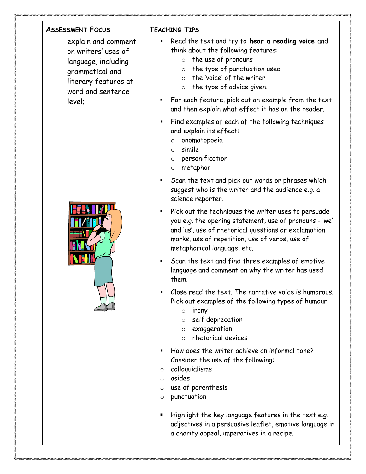| <b>ASSESSMENT FOCUS</b>                                                                                                                     | <b>TEACHING TIPS</b>                                                                                                                                                                                                                                                                                                                                                    |
|---------------------------------------------------------------------------------------------------------------------------------------------|-------------------------------------------------------------------------------------------------------------------------------------------------------------------------------------------------------------------------------------------------------------------------------------------------------------------------------------------------------------------------|
| explain and comment<br>on writers' uses of<br>language, including<br>grammatical and<br>literary features at<br>word and sentence<br>level: | Read the text and try to hear a reading voice and<br>٠<br>think about the following features:<br>the use of pronouns<br>$\circ$<br>the type of punctuation used<br>$\circ$<br>the 'voice' of the writer<br>$\circ$<br>the type of advice given.<br>$\circ$<br>For each feature, pick out an example from the text<br>and then explain what effect it has on the reader. |
|                                                                                                                                             | Find examples of each of the following techniques<br>and explain its effect:<br>onomatopoeia<br>$\circ$<br>simile<br>$\circ$<br>personification<br>$\circ$<br>metaphor<br>$\circ$                                                                                                                                                                                       |
|                                                                                                                                             | Scan the text and pick out words or phrases which<br>suggest who is the writer and the audience e.g. a<br>science reporter.                                                                                                                                                                                                                                             |
|                                                                                                                                             | Pick out the techniques the writer uses to persuade<br>you e.g. the opening statement, use of pronouns - 'we'<br>and 'us', use of rhetorical questions or exclamation<br>marks, use of repetition, use of verbs, use of<br>metaphorical language, etc.                                                                                                                  |
|                                                                                                                                             | Scan the text and find three examples of emotive<br>٠<br>language and comment on why the writer has used<br>them.                                                                                                                                                                                                                                                       |
|                                                                                                                                             | Close read the text. The narrative voice is humorous.<br>Pick out examples of the following types of humour:<br>irony<br>$\circ$<br>self deprecation<br>$\circ$<br>exaggeration<br>$\circ$<br>rhetorical devices<br>$\circ$                                                                                                                                             |
|                                                                                                                                             | How does the writer achieve an informal tone?<br>Consider the use of the following:<br>colloquialisms<br>$\circ$<br>asides<br>$\Omega$<br>use of parenthesis<br>O<br>punctuation<br>O                                                                                                                                                                                   |
|                                                                                                                                             | Highlight the key language features in the text e.g.<br>adjectives in a persuasive leaflet, emotive language in<br>a charity appeal, imperatives in a recipe.                                                                                                                                                                                                           |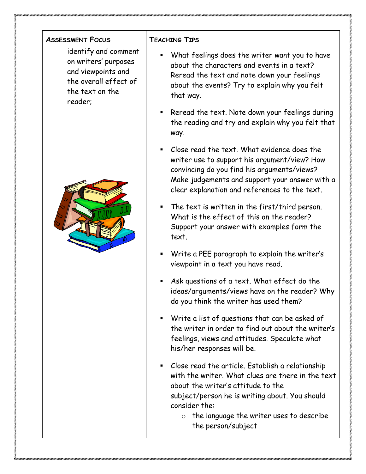| <b>ASSESSMENT FOCUS</b>                                                                                                   | <b>TEACHING TIPS</b>                                                                                                                                                                                                                                                                        |
|---------------------------------------------------------------------------------------------------------------------------|---------------------------------------------------------------------------------------------------------------------------------------------------------------------------------------------------------------------------------------------------------------------------------------------|
| identify and comment<br>on writers' purposes<br>and viewpoints and<br>the overall effect of<br>the text on the<br>reader; | What feelings does the writer want you to have<br>about the characters and events in a text?<br>Reread the text and note down your feelings<br>about the events? Try to explain why you felt<br>that way.                                                                                   |
|                                                                                                                           | Reread the text. Note down your feelings during<br>the reading and try and explain why you felt that<br>way.                                                                                                                                                                                |
|                                                                                                                           | Close read the text. What evidence does the<br>$\blacksquare$<br>writer use to support his argument/view? How<br>convincing do you find his arguments/views?<br>Make judgements and support your answer with a<br>clear explanation and references to the text.                             |
|                                                                                                                           | The text is written in the first/third person.<br>What is the effect of this on the reader?<br>Support your answer with examples form the<br>text.                                                                                                                                          |
|                                                                                                                           | Write a PEE paragraph to explain the writer's<br>viewpoint in a text you have read.                                                                                                                                                                                                         |
|                                                                                                                           | Ask questions of a text. What effect do the<br>ideas/arguments/views have on the reader? Why<br>do you think the writer has used them?                                                                                                                                                      |
|                                                                                                                           | Write a list of questions that can be asked of<br>п.<br>the writer in order to find out about the writer's<br>feelings, views and attitudes. Speculate what<br>his/her responses will be.                                                                                                   |
|                                                                                                                           | Close read the article. Establish a relationship<br>with the writer. What clues are there in the text<br>about the writer's attitude to the<br>subject/person he is writing about. You should<br>consider the:<br>the language the writer uses to describe<br>$\circ$<br>the person/subject |